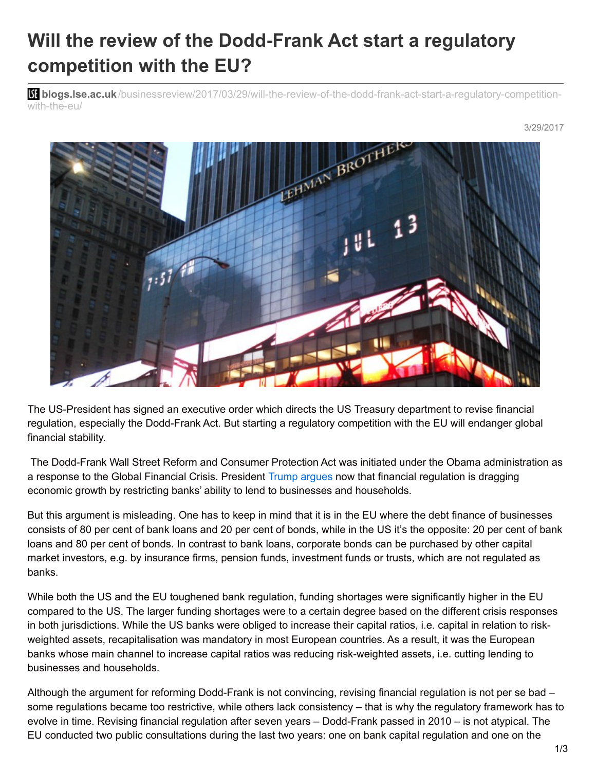## **Will the review of the Dodd-Frank Act start a regulatory competition with the EU?**

**blist blogs.lse.ac.uk**[/businessreview/2017/03/29/will-the-review-of-the-dodd-frank-act-start-a-regulatory-competition](http://blogs.lse.ac.uk/businessreview/2017/03/29/will-the-review-of-the-dodd-frank-act-start-a-regulatory-competition-with-the-eu/)with-the-eu/



The US-President has signed an executive order which directs the US Treasury department to revise financial regulation, especially the Dodd-Frank Act. But starting a regulatory competition with the EU will endanger global financial stability.

The Dodd-Frank Wall Street Reform and Consumer Protection Act was initiated under the Obama administration as a response to the Global Financial Crisis. President Trump [argues](http://fortune.com/2017/02/03/donald-trump-dodd-frank-friends-lending/) now that financial regulation is dragging economic growth by restricting banks' ability to lend to businesses and households.

But this argument is misleading. One has to keep in mind that it is in the EU where the debt finance of businesses consists of 80 per cent of bank loans and 20 per cent of bonds, while in the US it's the opposite: 20 per cent of bank loans and 80 per cent of bonds. In contrast to bank loans, corporate bonds can be purchased by other capital market investors, e.g. by insurance firms, pension funds, investment funds or trusts, which are not regulated as banks.

While both the US and the EU toughened bank regulation, funding shortages were significantly higher in the EU compared to the US. The larger funding shortages were to a certain degree based on the different crisis responses in both jurisdictions. While the US banks were obliged to increase their capital ratios, i.e. capital in relation to riskweighted assets, recapitalisation was mandatory in most European countries. As a result, it was the European banks whose main channel to increase capital ratios was reducing risk-weighted assets, i.e. cutting lending to businesses and households.

Although the argument for reforming Dodd-Frank is not convincing, revising financial regulation is not per se bad – some regulations became too restrictive, while others lack consistency – that is why the regulatory framework has to evolve in time. Revising financial regulation after seven years – Dodd-Frank passed in 2010 – is not atypical. The EU conducted two public consultations during the last two years: one on bank capital regulation and one on the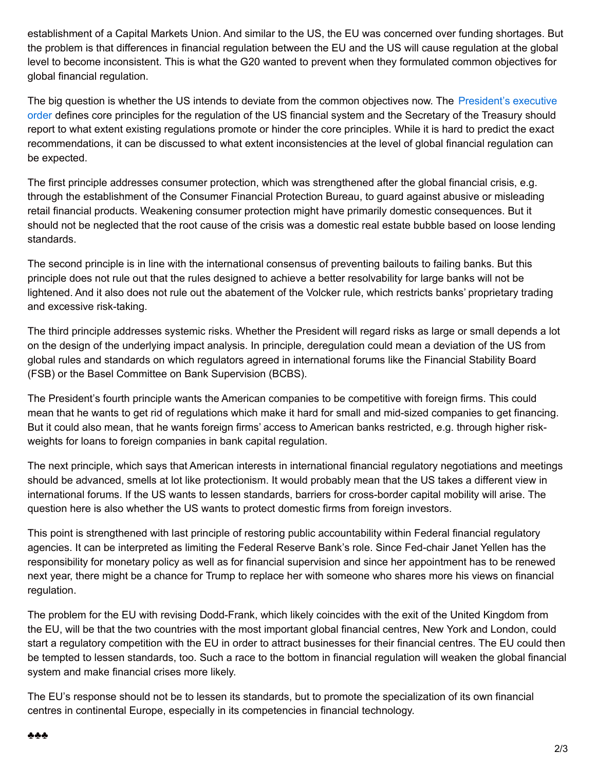establishment of a Capital Markets Union. And similar to the US, the EU was concerned over funding shortages. But the problem is that differences in financial regulation between the EU and the US will cause regulation at the global level to become inconsistent. This is what the G20 wanted to prevent when they formulated common objectives for global financial regulation.

The big question is whether the US intends to deviate from the common objectives now. The [President's](https://www.whitehouse.gov/the-press-office/2017/02/03/presidential-executive-order-core-principles-regulating-united-states) executive order defines core principles for the regulation of the US financial system and the Secretary of the Treasury should report to what extent existing regulations promote or hinder the core principles. While it is hard to predict the exact recommendations, it can be discussed to what extent inconsistencies at the level of global financial regulation can be expected.

The first principle addresses consumer protection, which was strengthened after the global financial crisis, e.g. through the establishment of the Consumer Financial Protection Bureau, to guard against abusive or misleading retail financial products. Weakening consumer protection might have primarily domestic consequences. But it should not be neglected that the root cause of the crisis was a domestic real estate bubble based on loose lending standards.

The second principle is in line with the international consensus of preventing bailouts to failing banks. But this principle does not rule out that the rules designed to achieve a better resolvability for large banks will not be lightened. And it also does not rule out the abatement of the Volcker rule, which restricts banks' proprietary trading and excessive risk-taking.

The third principle addresses systemic risks. Whether the President will regard risks as large or small depends a lot on the design of the underlying impact analysis. In principle, deregulation could mean a deviation of the US from global rules and standards on which regulators agreed in international forums like the Financial Stability Board (FSB) or the Basel Committee on Bank Supervision (BCBS).

The President's fourth principle wants the American companies to be competitive with foreign firms. This could mean that he wants to get rid of regulations which make it hard for small and mid-sized companies to get financing. But it could also mean, that he wants foreign firms' access to American banks restricted, e.g. through higher riskweights for loans to foreign companies in bank capital regulation.

The next principle, which says that American interests in international financial regulatory negotiations and meetings should be advanced, smells at lot like protectionism. It would probably mean that the US takes a different view in international forums. If the US wants to lessen standards, barriers for cross-border capital mobility will arise. The question here is also whether the US wants to protect domestic firms from foreign investors.

This point is strengthened with last principle of restoring public accountability within Federal financial regulatory agencies. It can be interpreted as limiting the Federal Reserve Bank's role. Since Fed-chair Janet Yellen has the responsibility for monetary policy as well as for financial supervision and since her appointment has to be renewed next year, there might be a chance for Trump to replace her with someone who shares more his views on financial regulation.

The problem for the EU with revising Dodd-Frank, which likely coincides with the exit of the United Kingdom from the EU, will be that the two countries with the most important global financial centres, New York and London, could start a regulatory competition with the EU in order to attract businesses for their financial centres. The EU could then be tempted to lessen standards, too. Such a race to the bottom in financial regulation will weaken the global financial system and make financial crises more likely.

The EU's response should not be to lessen its standards, but to promote the specialization of its own financial centres in continental Europe, especially in its competencies in financial technology.